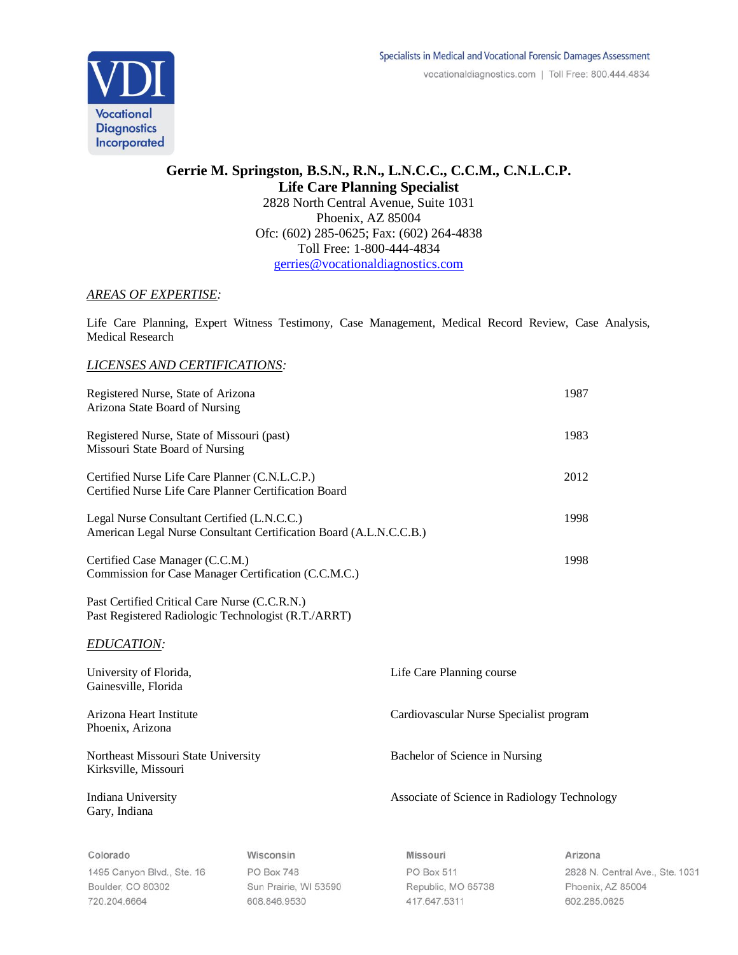

## **Gerrie M. Springston, B.S.N., R.N., L.N.C.C., C.C.M., C.N.L.C.P. Life Care Planning Specialist** 2828 North Central Avenue, Suite 1031 Phoenix, AZ 85004 Ofc: (602) 285-0625; Fax: (602) 264-4838 Toll Free: 1-800-444-4834 [gerries@vocationaldiagnostics.com](mailto:gerries@vocationaldiagnostics.com)

## *AREAS OF EXPERTISE:*

Life Care Planning, Expert Witness Testimony, Case Management, Medical Record Review, Case Analysis, Medical Research

## *LICENSES AND CERTIFICATIONS:*

| Registered Nurse, State of Arizona<br>Arizona State Board of Nursing                                              |                          |                           | 1987                                         |  |
|-------------------------------------------------------------------------------------------------------------------|--------------------------|---------------------------|----------------------------------------------|--|
| Registered Nurse, State of Missouri (past)<br>Missouri State Board of Nursing                                     |                          |                           | 1983                                         |  |
| Certified Nurse Life Care Planner (C.N.L.C.P.)<br>Certified Nurse Life Care Planner Certification Board           |                          |                           | 2012                                         |  |
| Legal Nurse Consultant Certified (L.N.C.C.)<br>American Legal Nurse Consultant Certification Board (A.L.N.C.C.B.) |                          |                           | 1998                                         |  |
| Certified Case Manager (C.C.M.)<br>Commission for Case Manager Certification (C.C.M.C.)                           |                          |                           | 1998                                         |  |
| Past Certified Critical Care Nurse (C.C.R.N.)<br>Past Registered Radiologic Technologist (R.T./ARRT)              |                          |                           |                                              |  |
| <b>EDUCATION:</b>                                                                                                 |                          |                           |                                              |  |
| University of Florida,<br>Gainesville, Florida                                                                    |                          | Life Care Planning course |                                              |  |
| Arizona Heart Institute<br>Phoenix, Arizona                                                                       |                          |                           | Cardiovascular Nurse Specialist program      |  |
| Northeast Missouri State University<br>Kirksville, Missouri                                                       |                          |                           | Bachelor of Science in Nursing               |  |
| Indiana University<br>Gary, Indiana                                                                               |                          |                           | Associate of Science in Radiology Technology |  |
| Colorado                                                                                                          | Wisconsin                | Missouri                  | Arizona                                      |  |
| $11050$ course Dhid $Q_4$ $10$                                                                                    | DO D <sub>2</sub> ., 740 | $DAD_{211}FAA$            | $0000B$ $\sim$                               |  |

1495 Canyon Blvd., Ste. 16 Boulder, CO 80302 720.204.6664

**PO Box 748** Sun Prairie, WI 53590 608.846.9530

PO Box 511 Republic, MO 65738 417.647.5311

2828 N. Central Ave., Ste. 1031 Phoenix, AZ 85004 602.285.0625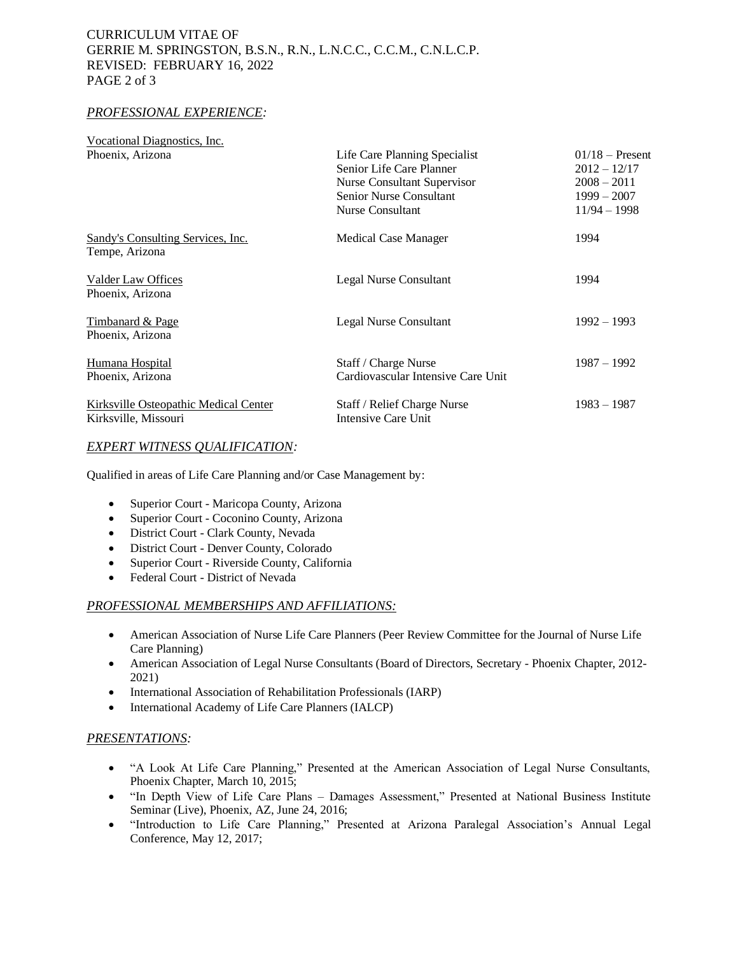## CURRICULUM VITAE OF GERRIE M. SPRINGSTON, B.S.N., R.N., L.N.C.C., C.C.M., C.N.L.C.P. REVISED: FEBRUARY 16, 2022 PAGE 2 of 3

### *PROFESSIONAL EXPERIENCE:*

| Vocational Diagnostics, Inc.                                  |                                                            |                                     |
|---------------------------------------------------------------|------------------------------------------------------------|-------------------------------------|
| Phoenix, Arizona                                              | Life Care Planning Specialist<br>Senior Life Care Planner  | $01/18$ – Present<br>$2012 - 12/17$ |
|                                                               | <b>Nurse Consultant Supervisor</b>                         | $2008 - 2011$                       |
|                                                               | <b>Senior Nurse Consultant</b>                             | $1999 - 2007$                       |
|                                                               | Nurse Consultant                                           | $11/94 - 1998$                      |
| Sandy's Consulting Services, Inc.<br>Tempe, Arizona           | <b>Medical Case Manager</b>                                | 1994                                |
| Valder Law Offices<br>Phoenix, Arizona                        | Legal Nurse Consultant                                     | 1994                                |
| <b>Timbanard &amp; Page</b><br>Phoenix, Arizona               | Legal Nurse Consultant                                     | $1992 - 1993$                       |
| Humana Hospital<br>Phoenix, Arizona                           | Staff / Charge Nurse<br>Cardiovascular Intensive Care Unit | $1987 - 1992$                       |
| Kirksville Osteopathic Medical Center<br>Kirksville, Missouri | Staff / Relief Charge Nurse<br>Intensive Care Unit         | $1983 - 1987$                       |

### *EXPERT WITNESS QUALIFICATION:*

Qualified in areas of Life Care Planning and/or Case Management by:

- Superior Court Maricopa County, Arizona
- Superior Court Coconino County, Arizona
- District Court Clark County, Nevada
- District Court Denver County, Colorado
- Superior Court Riverside County, California
- Federal Court District of Nevada

#### *PROFESSIONAL MEMBERSHIPS AND AFFILIATIONS:*

- American Association of Nurse Life Care Planners (Peer Review Committee for the Journal of Nurse Life Care Planning)
- American Association of Legal Nurse Consultants (Board of Directors, Secretary Phoenix Chapter, 2012-2021)
- International Association of Rehabilitation Professionals (IARP)
- International Academy of Life Care Planners (IALCP)

#### *PRESENTATIONS:*

- "A Look At Life Care Planning," Presented at the American Association of Legal Nurse Consultants, Phoenix Chapter, March 10, 2015;
- "In Depth View of Life Care Plans Damages Assessment," Presented at National Business Institute Seminar (Live), Phoenix, AZ, June 24, 2016;
- "Introduction to Life Care Planning," Presented at Arizona Paralegal Association's Annual Legal Conference, May 12, 2017;